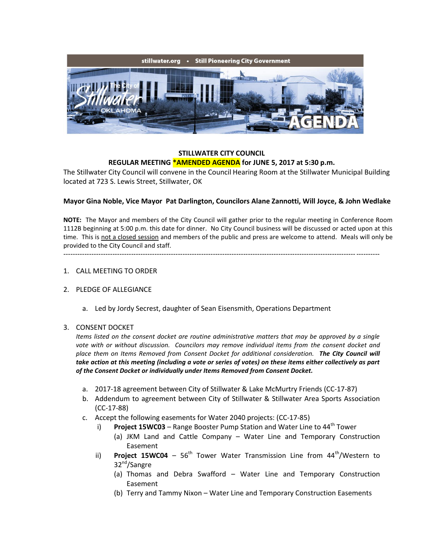

## **STILLWATER CITY COUNCIL REGULAR MEETING \*AMENDED AGENDA for JUNE 5, 2017 at 5:30 p.m.**

The Stillwater City Council will convene in the Council Hearing Room at the Stillwater Municipal Building located at 723 S. Lewis Street, Stillwater, OK

## **Mayor Gina Noble, Vice Mayor Pat Darlington, Councilors Alane Zannotti, Will Joyce, & John Wedlake**

**NOTE:** The Mayor and members of the City Council will gather prior to the regular meeting in Conference Room 1112B beginning at 5:00 p.m. this date for dinner. No City Council business will be discussed or acted upon at this time. This is not a closed session and members of the public and press are welcome to attend. Meals will only be provided to the City Council and staff.

# ---------------------------------------------------------------------------------------------------------------------------------------

# 1. CALL MEETING TO ORDER

#### 2. PLEDGE OF ALLEGIANCE

a. Led by Jordy Secrest, daughter of Sean Eisensmith, Operations Department

#### 3. CONSENT DOCKET

*Items listed on the consent docket are routine administrative matters that may be approved by a single vote with or without discussion. Councilors may remove individual items from the consent docket and place them on Items Removed from Consent Docket for additional consideration. The City Council will take action at this meeting (including a vote or series of votes) on these items either collectively as part of the Consent Docket or individually under Items Removed from Consent Docket.*

- a. 2017-18 agreement between City of Stillwater & Lake McMurtry Friends (CC-17-87)
- b. Addendum to agreement between City of Stillwater & Stillwater Area Sports Association (CC-17-88)
- c. Accept the following easements for Water 2040 projects: (CC-17-85)
	- i) **Project 15WC03** Range Booster Pump Station and Water Line to 44<sup>th</sup> Tower
		- (a) JKM Land and Cattle Company Water Line and Temporary Construction Easement
	- ii) **Project 15WC04**  $56<sup>th</sup>$  Tower Water Transmission Line from  $44<sup>th</sup>/Western$  to 32nd/Sangre
		- (a) Thomas and Debra Swafford Water Line and Temporary Construction Easement
		- (b) Terry and Tammy Nixon Water Line and Temporary Construction Easements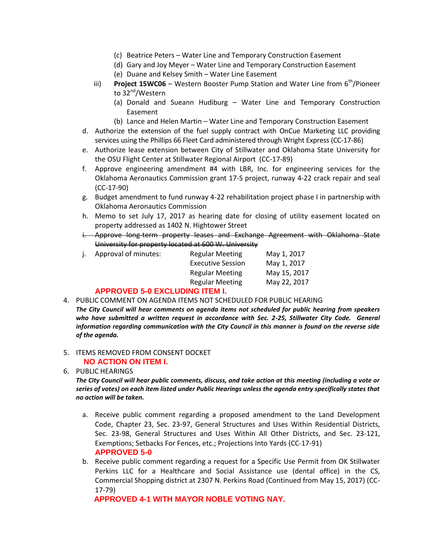- (c) Beatrice Peters Water Line and Temporary Construction Easement
- (d) Gary and Joy Meyer Water Line and Temporary Construction Easement
- (e) Duane and Kelsey Smith Water Line Easement
- iii) **Project 15WC06** Western Booster Pump Station and Water Line from 6<sup>th</sup>/Pioneer to 32<sup>nd</sup>/Western
	- (a) Donald and Sueann Hudiburg Water Line and Temporary Construction Easement
	- (b) Lance and Helen Martin Water Line and Temporary Construction Easement
- d. Authorize the extension of the fuel supply contract with OnCue Marketing LLC providing services using the Phillips 66 Fleet Card administered through Wright Express (CC-17-86)
- e. Authorize lease extension between City of Stillwater and Oklahoma State University for the OSU Flight Center at Stillwater Regional Airport (CC-17-89)
- f. Approve engineering amendment #4 with LBR, Inc. for engineering services for the Oklahoma Aeronautics Commission grant 17-S project, runway 4-22 crack repair and seal (CC-17-90)
- g. Budget amendment to fund runway 4-22 rehabilitation project phase I in partnership with Oklahoma Aeronautics Commission
- h. Memo to set July 17, 2017 as hearing date for closing of utility easement located on property addressed as 1402 N. Hightower Street
- i. Approve long-term property leases and Exchange Agreement with Oklahoma State University for property located at 600 W. University

|  | Approval of minutes: | <b>Regular Meeting</b>   | May 1, 2017  |
|--|----------------------|--------------------------|--------------|
|  |                      | <b>Executive Session</b> | May 1, 2017  |
|  |                      | <b>Regular Meeting</b>   | May 15, 2017 |
|  |                      | <b>Regular Meeting</b>   | May 22, 2017 |
|  |                      |                          |              |

#### **APPROVED 5-0 EXCLUDING ITEM I.**

4. PUBLIC COMMENT ON AGENDA ITEMS NOT SCHEDULED FOR PUBLIC HEARING

*The City Council will hear comments on agenda items not scheduled for public hearing from speakers*  who have submitted a written request in accordance with Sec. 2-25, Stillwater City Code. General *information regarding communication with the City Council in this manner is found on the reverse side of the agenda.*

#### 5. ITEMS REMOVED FROM CONSENT DOCKET **NO ACTION ON ITEM I.**

6. PUBLIC HEARINGS

*The City Council will hear public comments, discuss, and take action at this meeting (including a vote or series of votes) on each item listed under Public Hearings unless the agenda entry specifically states that no action will be taken.*

- a. Receive public comment regarding a proposed amendment to the Land Development Code, Chapter 23, Sec. 23-97, General Structures and Uses Within Residential Districts, Sec. 23-98, General Structures and Uses Within All Other Districts, and Sec. 23-121, Exemptions; Setbacks For Fences, etc.; Projections Into Yards (CC-17-91) **APPROVED 5-0**
- b. Receive public comment regarding a request for a Specific Use Permit from OK Stillwater Perkins LLC for a Healthcare and Social Assistance use (dental office) in the CS, Commercial Shopping district at 2307 N. Perkins Road (Continued from May 15, 2017) (CC-17-79)

**APPROVED 4-1 WITH MAYOR NOBLE VOTING NAY.**